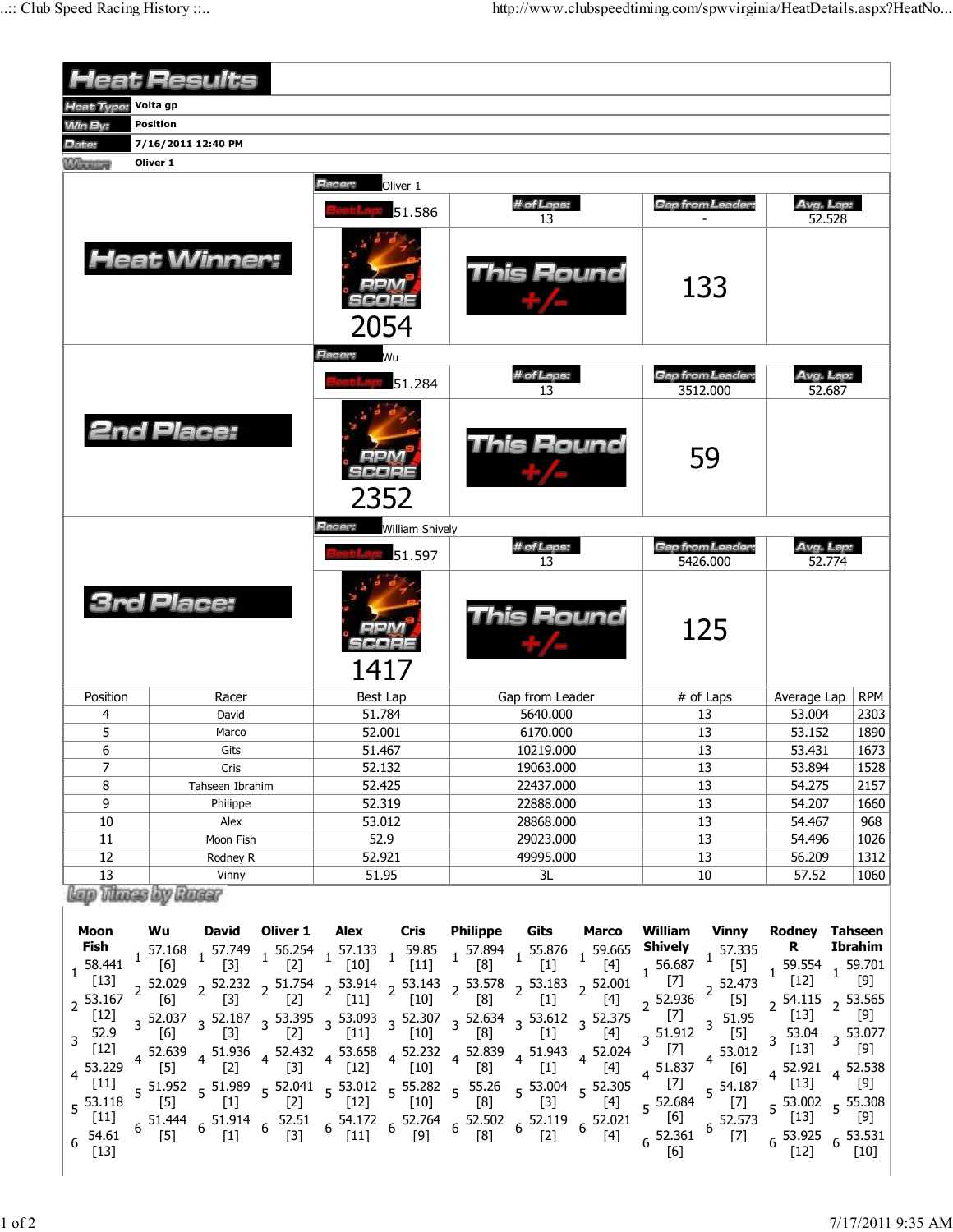|                                                                                                                                    |                                                                                           | <b>Heat Results</b>                                                                                                                                                             |                                                       |                                                                                                                                                                                                                                                                                                                                                                                                                                                                                                                                                                                                                                            |                                                                    |                                                                     |                                                                                                 |                                                                                                           |                                                                                                                                                             |                                                                                                                                                                   |                                                                                                                                                                         |                                                                                                             |
|------------------------------------------------------------------------------------------------------------------------------------|-------------------------------------------------------------------------------------------|---------------------------------------------------------------------------------------------------------------------------------------------------------------------------------|-------------------------------------------------------|--------------------------------------------------------------------------------------------------------------------------------------------------------------------------------------------------------------------------------------------------------------------------------------------------------------------------------------------------------------------------------------------------------------------------------------------------------------------------------------------------------------------------------------------------------------------------------------------------------------------------------------------|--------------------------------------------------------------------|---------------------------------------------------------------------|-------------------------------------------------------------------------------------------------|-----------------------------------------------------------------------------------------------------------|-------------------------------------------------------------------------------------------------------------------------------------------------------------|-------------------------------------------------------------------------------------------------------------------------------------------------------------------|-------------------------------------------------------------------------------------------------------------------------------------------------------------------------|-------------------------------------------------------------------------------------------------------------|
| eat Type:                                                                                                                          | Volta gp                                                                                  |                                                                                                                                                                                 |                                                       |                                                                                                                                                                                                                                                                                                                                                                                                                                                                                                                                                                                                                                            |                                                                    |                                                                     |                                                                                                 |                                                                                                           |                                                                                                                                                             |                                                                                                                                                                   |                                                                                                                                                                         |                                                                                                             |
| <b>Min By:</b>                                                                                                                     | <b>Position</b>                                                                           |                                                                                                                                                                                 |                                                       |                                                                                                                                                                                                                                                                                                                                                                                                                                                                                                                                                                                                                                            |                                                                    |                                                                     |                                                                                                 |                                                                                                           |                                                                                                                                                             |                                                                                                                                                                   |                                                                                                                                                                         |                                                                                                             |
| Date:                                                                                                                              | 7/16/2011 12:40 PM                                                                        |                                                                                                                                                                                 |                                                       |                                                                                                                                                                                                                                                                                                                                                                                                                                                                                                                                                                                                                                            |                                                                    |                                                                     |                                                                                                 |                                                                                                           |                                                                                                                                                             |                                                                                                                                                                   |                                                                                                                                                                         |                                                                                                             |
| Winner                                                                                                                             | Oliver 1                                                                                  |                                                                                                                                                                                 |                                                       |                                                                                                                                                                                                                                                                                                                                                                                                                                                                                                                                                                                                                                            |                                                                    |                                                                     |                                                                                                 |                                                                                                           |                                                                                                                                                             |                                                                                                                                                                   |                                                                                                                                                                         |                                                                                                             |
|                                                                                                                                    |                                                                                           |                                                                                                                                                                                 |                                                       | Racer:                                                                                                                                                                                                                                                                                                                                                                                                                                                                                                                                                                                                                                     | Oliver 1                                                           |                                                                     |                                                                                                 |                                                                                                           |                                                                                                                                                             |                                                                                                                                                                   |                                                                                                                                                                         |                                                                                                             |
|                                                                                                                                    |                                                                                           |                                                                                                                                                                                 |                                                       |                                                                                                                                                                                                                                                                                                                                                                                                                                                                                                                                                                                                                                            | 51.586                                                             | # of Laps:<br>13                                                    |                                                                                                 |                                                                                                           | Gap from Leader:                                                                                                                                            |                                                                                                                                                                   | Avg. Lap:<br>52.528                                                                                                                                                     |                                                                                                             |
|                                                                                                                                    |                                                                                           | <b>Heat Winner:</b>                                                                                                                                                             |                                                       | 2054                                                                                                                                                                                                                                                                                                                                                                                                                                                                                                                                                                                                                                       |                                                                    | This Round                                                          |                                                                                                 |                                                                                                           |                                                                                                                                                             | 133                                                                                                                                                               |                                                                                                                                                                         |                                                                                                             |
|                                                                                                                                    |                                                                                           |                                                                                                                                                                                 |                                                       | Racer:                                                                                                                                                                                                                                                                                                                                                                                                                                                                                                                                                                                                                                     | Wu                                                                 |                                                                     |                                                                                                 |                                                                                                           |                                                                                                                                                             |                                                                                                                                                                   |                                                                                                                                                                         |                                                                                                             |
|                                                                                                                                    |                                                                                           |                                                                                                                                                                                 |                                                       |                                                                                                                                                                                                                                                                                                                                                                                                                                                                                                                                                                                                                                            | 51.284                                                             | # of Laps:<br>13                                                    |                                                                                                 |                                                                                                           | <b>Gap from Leader:</b><br>3512.000                                                                                                                         |                                                                                                                                                                   | Avg. Lap:<br>52.687                                                                                                                                                     |                                                                                                             |
|                                                                                                                                    | <b>2nd Place:</b>                                                                         |                                                                                                                                                                                 |                                                       | 2352                                                                                                                                                                                                                                                                                                                                                                                                                                                                                                                                                                                                                                       |                                                                    | This Round                                                          |                                                                                                 |                                                                                                           | 59                                                                                                                                                          |                                                                                                                                                                   |                                                                                                                                                                         |                                                                                                             |
|                                                                                                                                    |                                                                                           |                                                                                                                                                                                 |                                                       | Racer:                                                                                                                                                                                                                                                                                                                                                                                                                                                                                                                                                                                                                                     | <b>William Shively</b>                                             |                                                                     |                                                                                                 |                                                                                                           |                                                                                                                                                             |                                                                                                                                                                   |                                                                                                                                                                         |                                                                                                             |
|                                                                                                                                    |                                                                                           |                                                                                                                                                                                 |                                                       |                                                                                                                                                                                                                                                                                                                                                                                                                                                                                                                                                                                                                                            | 51.597                                                             |                                                                     | # of Laps:<br>13                                                                                |                                                                                                           |                                                                                                                                                             | <b>Gap from Leader:</b><br>5426.000                                                                                                                               | Avg. Lap:<br>52.774                                                                                                                                                     |                                                                                                             |
| <b>3rd Place:</b>                                                                                                                  |                                                                                           |                                                                                                                                                                                 |                                                       | 1417                                                                                                                                                                                                                                                                                                                                                                                                                                                                                                                                                                                                                                       |                                                                    | This Round                                                          |                                                                                                 |                                                                                                           | 125                                                                                                                                                         |                                                                                                                                                                   |                                                                                                                                                                         |                                                                                                             |
| Position                                                                                                                           |                                                                                           | Racer                                                                                                                                                                           |                                                       | Best Lap                                                                                                                                                                                                                                                                                                                                                                                                                                                                                                                                                                                                                                   |                                                                    | Gap from Leader                                                     |                                                                                                 |                                                                                                           | # of Laps                                                                                                                                                   |                                                                                                                                                                   | Average Lap                                                                                                                                                             | <b>RPM</b>                                                                                                  |
| 4                                                                                                                                  |                                                                                           | David                                                                                                                                                                           |                                                       | 51.784                                                                                                                                                                                                                                                                                                                                                                                                                                                                                                                                                                                                                                     |                                                                    | 5640.000                                                            |                                                                                                 |                                                                                                           | 13                                                                                                                                                          |                                                                                                                                                                   | 53.004                                                                                                                                                                  | 2303                                                                                                        |
| 5                                                                                                                                  |                                                                                           | Marco                                                                                                                                                                           |                                                       | 52.001                                                                                                                                                                                                                                                                                                                                                                                                                                                                                                                                                                                                                                     |                                                                    | 6170.000                                                            |                                                                                                 |                                                                                                           | 13                                                                                                                                                          |                                                                                                                                                                   | 53.152                                                                                                                                                                  | 1890                                                                                                        |
| 6                                                                                                                                  |                                                                                           | Gits                                                                                                                                                                            |                                                       | 51.467                                                                                                                                                                                                                                                                                                                                                                                                                                                                                                                                                                                                                                     |                                                                    | 10219.000                                                           |                                                                                                 |                                                                                                           | 13                                                                                                                                                          |                                                                                                                                                                   | 53.431                                                                                                                                                                  | 1673                                                                                                        |
| 7                                                                                                                                  |                                                                                           | Cris                                                                                                                                                                            |                                                       | 52.132                                                                                                                                                                                                                                                                                                                                                                                                                                                                                                                                                                                                                                     |                                                                    | 19063.000                                                           |                                                                                                 |                                                                                                           | 13                                                                                                                                                          |                                                                                                                                                                   | 53.894                                                                                                                                                                  | 1528                                                                                                        |
| 8                                                                                                                                  |                                                                                           | Tahseen Ibrahim                                                                                                                                                                 |                                                       | 52.425                                                                                                                                                                                                                                                                                                                                                                                                                                                                                                                                                                                                                                     |                                                                    | 22437.000                                                           |                                                                                                 |                                                                                                           | 13                                                                                                                                                          |                                                                                                                                                                   | 54.275                                                                                                                                                                  | 2157                                                                                                        |
| 9                                                                                                                                  |                                                                                           | Philippe                                                                                                                                                                        |                                                       | 52.319                                                                                                                                                                                                                                                                                                                                                                                                                                                                                                                                                                                                                                     |                                                                    | 22888.000                                                           |                                                                                                 |                                                                                                           | 13                                                                                                                                                          |                                                                                                                                                                   | 54.207                                                                                                                                                                  | 1660                                                                                                        |
| 10                                                                                                                                 |                                                                                           | Alex                                                                                                                                                                            |                                                       | 53.012<br>52.9                                                                                                                                                                                                                                                                                                                                                                                                                                                                                                                                                                                                                             |                                                                    | 28868.000<br>29023.000                                              |                                                                                                 |                                                                                                           | 13<br>13                                                                                                                                                    |                                                                                                                                                                   | 54.467                                                                                                                                                                  | 968                                                                                                         |
| 11<br>12                                                                                                                           |                                                                                           | Moon Fish<br>Rodney R                                                                                                                                                           |                                                       | 52.921                                                                                                                                                                                                                                                                                                                                                                                                                                                                                                                                                                                                                                     |                                                                    | 49995.000                                                           |                                                                                                 |                                                                                                           | 13                                                                                                                                                          |                                                                                                                                                                   | 54.496<br>56.209                                                                                                                                                        | 1026<br>1312                                                                                                |
| 13                                                                                                                                 |                                                                                           | Vinny                                                                                                                                                                           |                                                       | 51.95                                                                                                                                                                                                                                                                                                                                                                                                                                                                                                                                                                                                                                      |                                                                    | 3L                                                                  |                                                                                                 |                                                                                                           | 10                                                                                                                                                          |                                                                                                                                                                   | 57.52                                                                                                                                                                   | 1060                                                                                                        |
| lap Times by Ruer                                                                                                                  |                                                                                           |                                                                                                                                                                                 |                                                       |                                                                                                                                                                                                                                                                                                                                                                                                                                                                                                                                                                                                                                            |                                                                    |                                                                     |                                                                                                 |                                                                                                           |                                                                                                                                                             |                                                                                                                                                                   |                                                                                                                                                                         |                                                                                                             |
| Moon<br>Fish<br>58.441<br>$[13]$<br>$2^{53.167}$<br>$[12]$<br>$3^{52.9}$<br>$[12]$<br>4 53.229<br>$[11]$<br>$5^{53.118}$<br>$[11]$ | Wu<br>57.168<br>[6]<br>2 52.029<br>[6]<br>[6]<br>4 52.639<br>$\lfloor 5 \rfloor$<br>$[5]$ | <b>David</b><br>$[3]$<br>$[3]$<br>[3]<br>4 51.936<br>$[2]$<br>$51.952$ $51.989$<br>$[1]$<br>$6\substack{51.444\\51.914}$ $6\substack{51.914\\51.91}$ $6\substack{52.51\\52.91}$ | Oliver 1<br>$[2]$<br>$[2]$<br>$[2]$<br>$[3]$<br>$[2]$ | Alex<br>$1\begin{array}{c} 57.749 \\ 1 \end{array}$ 1 56.254 1 57.133 1 59.85 1 57.894 1 55.876<br>[10]<br>2 52.232 2 51.754 2 53.914 2 53.143 2 53.578 2 53.183 2 52.001<br>$[11]$<br>$3\frac{52.037}{1000}$ $3\frac{52.187}{1000}$ $3\frac{53.395}{1000}$ $3\frac{52.093}{1000}$ $3\frac{52.307}{1000}$ $3\frac{52.634}{1000}$ $3\frac{53.612}{1000}$ $3\frac{52.375}{1000}$<br> 11 <br>$4\begin{array}{cc} 52.432 \\ 121 \end{array}$ 4 53.658 4 52.232<br> 12 <br>$5\frac{52.041}{5}$ $5\frac{53.012}{53.01}$ $5\frac{55.282}{53.01}$ $5\frac{55.26}{53.01}$<br>$[12]$<br>$54.172$ $6$ $52.764$ $6$ $52.502$ $6$ $52.119$ $6$ $52.021$ | Cris<br>$[11]$<br>$[10]$<br>$\lfloor 10 \rfloor$<br> 10 <br>$[10]$ | <b>Philippe</b><br>[8]<br>[8]<br>$^{[8]}$<br>4 52.839<br>[8]<br>[8] | Gits<br>$[1]$<br>$[1]$<br>$[1]$<br>$4\frac{51.943}{ }$<br>$[1]$<br>$5\frac{53.004}{5}$<br>$[3]$ | <b>Marco</b><br>$1^{59.665}$<br>$[4]$<br>$[4]$<br>$[4]$<br>$4^{52.024}$<br>$[4]$<br>$5^{52.305}$<br>$[4]$ | William<br><b>Shively</b><br>$1^{56.687}$<br>$\overline{1}$ [7]<br>$2^{52.936}$<br>$[7]$<br>3 51.912<br>$[7]$<br>$4^{51.837}$<br>$[7]$<br>5 52.684<br>$[6]$ | <b>Vinny</b><br>57.335<br>$\mathbf{1}$<br>$[5]$<br>$2^{52.473}$<br>$[5]$<br>51.95<br>3<br>$[5]$<br>53.012<br>$\overline{4}$<br>[6]<br>5 54.187<br>$[7]$<br>52.573 | Rodney Tahseen<br>R<br>$1^{59.554}$<br>$[12]$<br>$2^{54.115}$<br>[13]<br>53.04<br>$[13]$<br>4 52.921<br>$[13]$<br>$5\frac{53.002}{51.21}$ $5\frac{55.308}{5}$<br>$[13]$ | <b>Ibrahim</b><br>1 59.701<br>[9]<br>$2^{53.565}$<br>[9]<br>3 53.077<br>[9]<br>$4^{52.538}$<br>$[9]$<br>[9] |
| 54.61<br>6<br>$[13]$                                                                                                               | $[5]$                                                                                     | $[1]$                                                                                                                                                                           | $[3]$                                                 | $[11]$                                                                                                                                                                                                                                                                                                                                                                                                                                                                                                                                                                                                                                     | $[9]$                                                              | [8]                                                                 | $[2]$                                                                                           | [4]                                                                                                       | 52.361<br>[6]                                                                                                                                               | $[7]$                                                                                                                                                             | $6^{53.925}$<br>$[12]$                                                                                                                                                  | $6\frac{53.531}{5}$<br>$[10]$                                                                               |